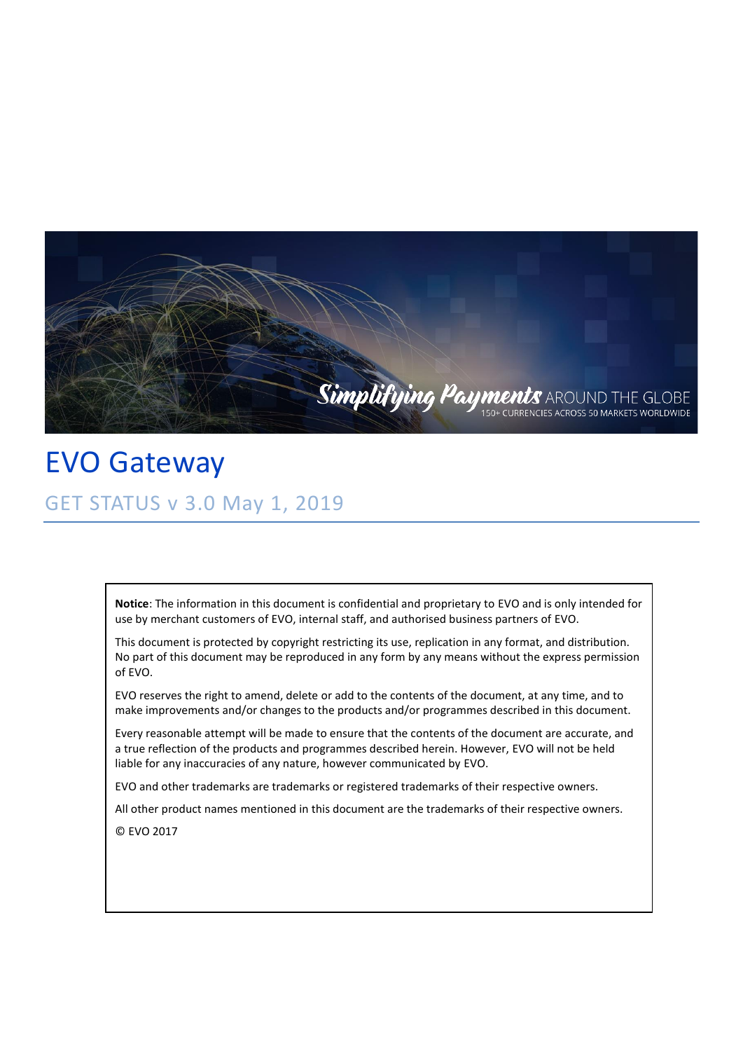

EVO Gateway GET STATUS v 3.0 May 1, 2019

> **Notice**: The information in this document is confidential and proprietary to EVO and is only intended for use by merchant customers of EVO, internal staff, and authorised business partners of EVO.

> This document is protected by copyright restricting its use, replication in any format, and distribution. No part of this document may be reproduced in any form by any means without the express permission of EVO.

EVO reserves the right to amend, delete or add to the contents of the document, at any time, and to make improvements and/or changes to the products and/or programmes described in this document.

Every reasonable attempt will be made to ensure that the contents of the document are accurate, and a true reflection of the products and programmes described herein. However, EVO will not be held liable for any inaccuracies of any nature, however communicated by EVO.

EVO and other trademarks are trademarks or registered trademarks of their respective owners.

All other product names mentioned in this document are the trademarks of their respective owners.

© EVO 2017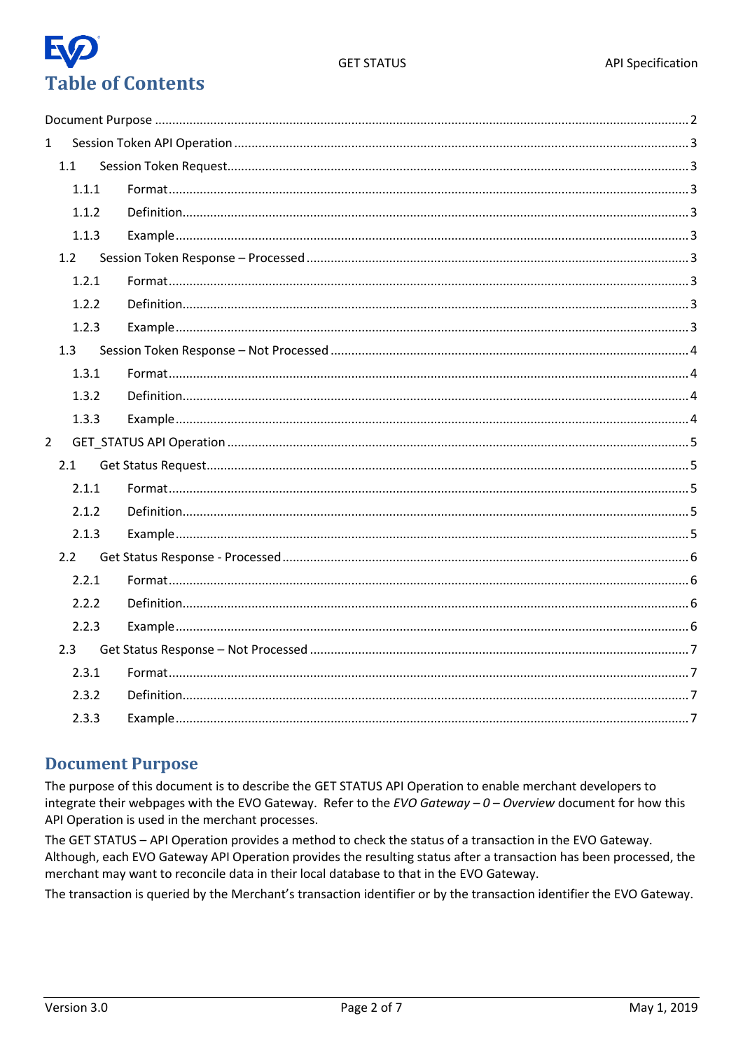

| $\mathbf{1}$   |       |  |
|----------------|-------|--|
|                | 1.1   |  |
|                | 1.1.1 |  |
|                | 1.1.2 |  |
|                | 1.1.3 |  |
|                | 1.2   |  |
|                | 1.2.1 |  |
|                | 1.2.2 |  |
|                | 1.2.3 |  |
|                | 1.3   |  |
|                | 1.3.1 |  |
|                | 1.3.2 |  |
|                | 1.3.3 |  |
| $\overline{2}$ |       |  |
|                | 2.1   |  |
|                | 2.1.1 |  |
|                | 2.1.2 |  |
|                | 2.1.3 |  |
|                | 2.2   |  |
|                | 2.2.1 |  |
|                | 2.2.2 |  |
|                | 2.2.3 |  |
|                | 2.3   |  |
|                | 2.3.1 |  |
|                | 2.3.2 |  |
|                | 2.3.3 |  |
|                |       |  |

#### <span id="page-1-0"></span>**Document Purpose**

The purpose of this document is to describe the GET STATUS API Operation to enable merchant developers to integrate their webpages with the EVO Gateway. Refer to the EVO Gateway  $-0$  - Overview document for how this API Operation is used in the merchant processes.

The GET STATUS - API Operation provides a method to check the status of a transaction in the EVO Gateway. Although, each EVO Gateway API Operation provides the resulting status after a transaction has been processed, the merchant may want to reconcile data in their local database to that in the EVO Gateway.

The transaction is queried by the Merchant's transaction identifier or by the transaction identifier the EVO Gateway.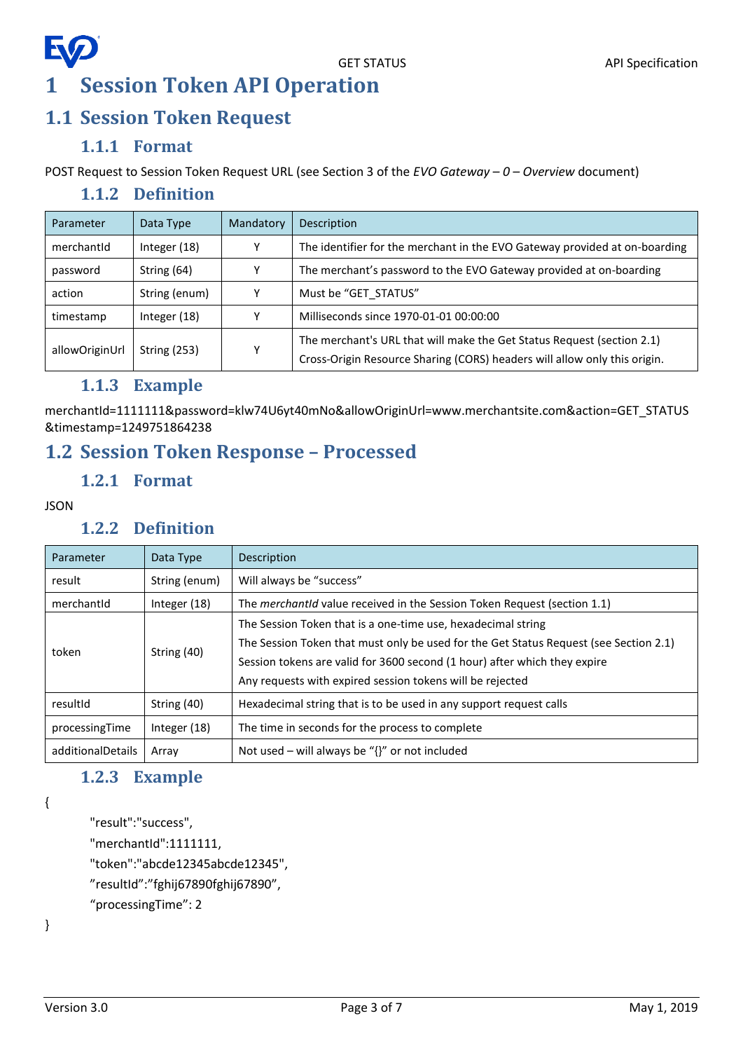# <span id="page-2-0"></span>**EV 1 Session Token API Operation**

## <span id="page-2-1"></span>**1.1 Session Token Request**

#### **1.1.1 Format**

<span id="page-2-3"></span><span id="page-2-2"></span>POST Request to Session Token Request URL (see Section 3 of the *EVO Gateway – 0 – Overview* document)

#### **1.1.2 Definition**

| Data Type           | Mandatory    | Description                                                                                                                                         |
|---------------------|--------------|-----------------------------------------------------------------------------------------------------------------------------------------------------|
| Integer $(18)$      |              | The identifier for the merchant in the EVO Gateway provided at on-boarding                                                                          |
| String (64)         | v            | The merchant's password to the EVO Gateway provided at on-boarding                                                                                  |
| String (enum)       |              | Must be "GET STATUS"                                                                                                                                |
| Integer $(18)$      | $\checkmark$ | Milliseconds since 1970-01-01 00:00:00                                                                                                              |
| <b>String (253)</b> | v            | The merchant's URL that will make the Get Status Request (section 2.1)<br>Cross-Origin Resource Sharing (CORS) headers will allow only this origin. |
|                     |              |                                                                                                                                                     |

#### **1.1.3 Example**

<span id="page-2-4"></span>merchantId=1111111&password=klw74U6yt40mNo&allowOriginUrl=www.merchantsite.com&action=GET\_STATUS &timestamp=1249751864238

## <span id="page-2-6"></span><span id="page-2-5"></span>**1.2 Session Token Response – Processed**

#### **1.2.1 Format**

<span id="page-2-7"></span>**JSON** 

#### **1.2.2 Definition**

| Parameter                    | Data Type     | Description                                                                           |
|------------------------------|---------------|---------------------------------------------------------------------------------------|
| result                       | String (enum) | Will always be "success"                                                              |
| merchantid<br>Integer $(18)$ |               | The <i>merchantid</i> value received in the Session Token Request (section 1.1)       |
|                              | String (40)   | The Session Token that is a one-time use, hexadecimal string                          |
| token                        |               | The Session Token that must only be used for the Get Status Request (see Section 2.1) |
|                              |               | Session tokens are valid for 3600 second (1 hour) after which they expire             |
|                              |               | Any requests with expired session tokens will be rejected                             |
| String (40)<br>resultId      |               | Hexadecimal string that is to be used in any support request calls                    |
| processingTime               | Integer (18)  | The time in seconds for the process to complete                                       |
| additionalDetails<br>Array   |               | Not used – will always be " $\{$ " or not included                                    |

#### **1.2.3 Example**

<span id="page-2-8"></span>{

```
"result":"success",
```
"merchantId":1111111,

"token":"abcde12345abcde12345",

"resultId":"fghij67890fghij67890",

"processingTime": 2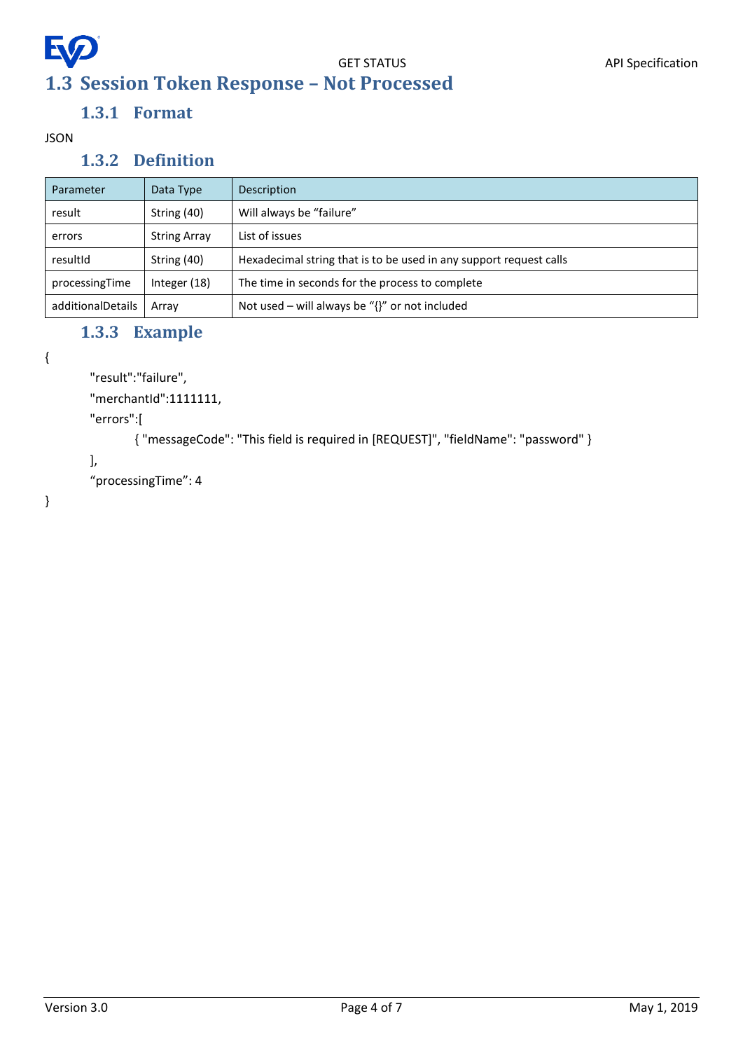<span id="page-3-0"></span>

# **1.3.1 Format**

<span id="page-3-2"></span><span id="page-3-1"></span>JSON

#### **1.3.2 Definition**

| Parameter         | Data Type           | Description                                                        |
|-------------------|---------------------|--------------------------------------------------------------------|
| result            | String (40)         | Will always be "failure"                                           |
| errors            | <b>String Array</b> | List of issues                                                     |
| resultId          | String (40)         | Hexadecimal string that is to be used in any support request calls |
| processingTime    | Integer (18)        | The time in seconds for the process to complete                    |
| additionalDetails | Array               | Not used – will always be " $\{$ ' or not included                 |

### **1.3.3 Example**

```
{
```

```
"result":"failure",
```
"merchantId":1111111,

"errors":[

{ "messageCode": "This field is required in [REQUEST]", "fieldName": "password" }

```
],
```
"processingTime": 4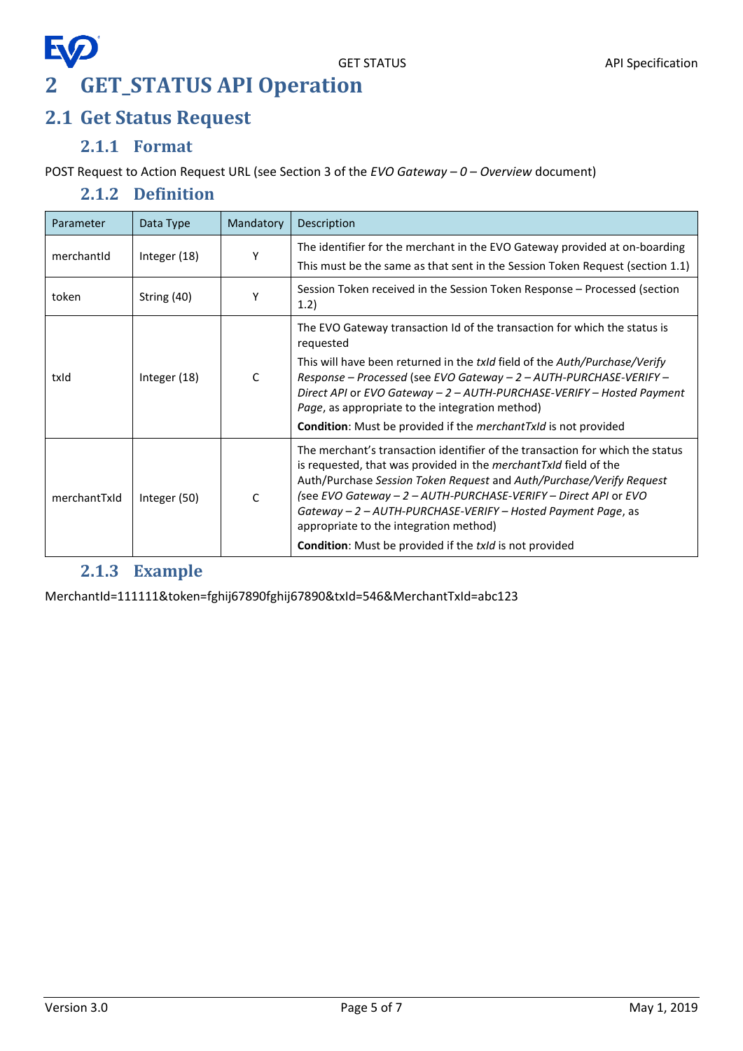# EQ **2 GET\_STATUS API Operation**

## <span id="page-4-1"></span><span id="page-4-0"></span>**2.1 Get Status Request**

#### **2.1.1 Format**

<span id="page-4-3"></span><span id="page-4-2"></span>POST Request to Action Request URL (see Section 3 of the *EVO Gateway – 0 – Overview* document)

#### **2.1.2 Definition**

| Parameter    | Data Type    | Mandatory | Description                                                                                                                                                                                                                                                                                                                                                                                                                                                              |
|--------------|--------------|-----------|--------------------------------------------------------------------------------------------------------------------------------------------------------------------------------------------------------------------------------------------------------------------------------------------------------------------------------------------------------------------------------------------------------------------------------------------------------------------------|
| merchantid   | Integer (18) | Υ         | The identifier for the merchant in the EVO Gateway provided at on-boarding<br>This must be the same as that sent in the Session Token Request (section 1.1)                                                                                                                                                                                                                                                                                                              |
| token        | String (40)  | Υ         | Session Token received in the Session Token Response - Processed (section<br>1.2)                                                                                                                                                                                                                                                                                                                                                                                        |
| txld         | Integer (18) | C         | The EVO Gateway transaction Id of the transaction for which the status is<br>requested<br>This will have been returned in the txld field of the Auth/Purchase/Verify<br>Response - Processed (see EVO Gateway - 2 - AUTH-PURCHASE-VERIFY -<br>Direct API or EVO Gateway $-2 -$ AUTH-PURCHASE-VERIFY - Hosted Payment<br>Page, as appropriate to the integration method)<br><b>Condition:</b> Must be provided if the <i>merchantTxId</i> is not provided                 |
| merchantTxId | Integer (50) | C         | The merchant's transaction identifier of the transaction for which the status<br>is requested, that was provided in the merchantTxId field of the<br>Auth/Purchase Session Token Request and Auth/Purchase/Verify Request<br>(see EVO Gateway - 2 - AUTH-PURCHASE-VERIFY - Direct API or EVO<br>Gateway - 2 - AUTH-PURCHASE-VERIFY - Hosted Payment Page, as<br>appropriate to the integration method)<br><b>Condition:</b> Must be provided if the txld is not provided |

### **2.1.3 Example**

<span id="page-4-4"></span>MerchantId=111111&token=fghij67890fghij67890&txId=546&MerchantTxId=abc123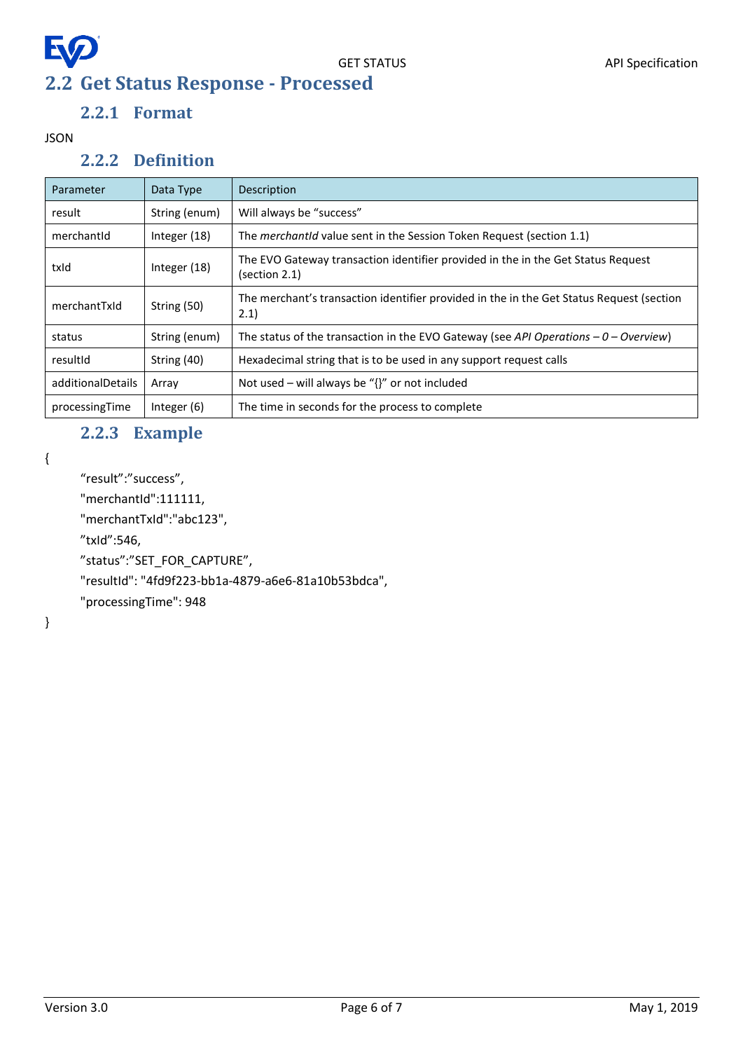# <span id="page-5-0"></span>EQ **2.2 Get Status Response - Processed**

### **2.2.1 Format**

#### <span id="page-5-2"></span><span id="page-5-1"></span>JSON

#### **2.2.2 Definition**

| Parameter         | Data Type     | Description                                                                                       |
|-------------------|---------------|---------------------------------------------------------------------------------------------------|
| result            | String (enum) | Will always be "success"                                                                          |
| merchantid        | Integer (18)  | The <i>merchantid</i> value sent in the Session Token Request (section 1.1)                       |
| txId              | Integer (18)  | The EVO Gateway transaction identifier provided in the in the Get Status Request<br>(section 2.1) |
| merchantTxId      | String (50)   | The merchant's transaction identifier provided in the in the Get Status Request (section<br>2.1)  |
| status            | String (enum) | The status of the transaction in the EVO Gateway (see API Operations $-0$ – Overview)             |
| resultId          | String (40)   | Hexadecimal string that is to be used in any support request calls                                |
| additionalDetails | Array         | Not used – will always be " $\{$ ' or not included                                                |
| processingTime    | Integer (6)   | The time in seconds for the process to complete                                                   |

#### **2.2.3 Example**

<span id="page-5-3"></span>{

"result":"success",

"merchantId":111111,

"merchantTxId":"abc123",

"txId":546,

"status":"SET\_FOR\_CAPTURE",

"resultId": "4fd9f223-bb1a-4879-a6e6-81a10b53bdca",

"processingTime": 948